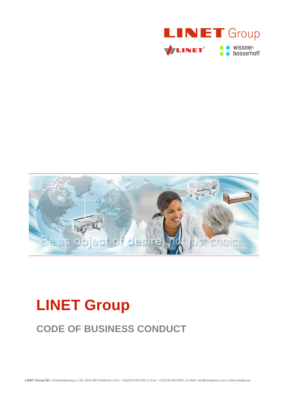



# **LINET Group**

## **CODE OF BUSINESS CONDUCT**

**LINET Group SE** | Amstelwijckweg 2 | NL-3316 BB Dordrecht | Fon: +31(0)78-652185-0 | Fax: +31(0)78-6521855 | E-Mail: info@linetgroup.com | www.linetgroup.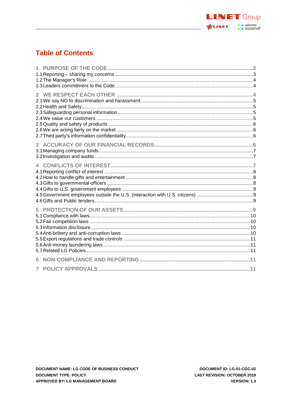

### **Table of Contents**

| 6 |  |
|---|--|
| 7 |  |
|   |  |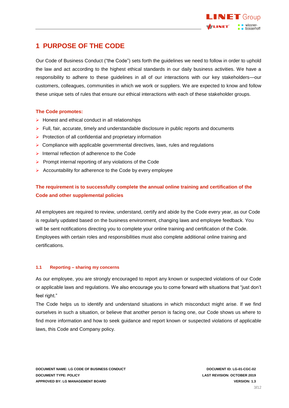

### <span id="page-2-0"></span>**1 PURPOSE OF THE CODE**

Our Code of Business Conduct ("the Code") sets forth the guidelines we need to follow in order to uphold the law and act according to the highest ethical standards in our daily business activities. We have a responsibility to adhere to these guidelines in all of our interactions with our key stakeholders—our customers, colleagues, communities in which we work or suppliers. We are expected to know and follow these unique sets of rules that ensure our ethical interactions with each of these stakeholder groups.

### **The Code promotes:**

- $\triangleright$  Honest and ethical conduct in all relationships
- $\triangleright$  Full, fair, accurate, timely and understandable disclosure in public reports and documents
- ➢ Protection of all confidential and proprietary information
- $\triangleright$  Compliance with applicable governmental directives, laws, rules and regulations
- ➢ Internal reflection of adherence to the Code
- ➢ Prompt internal reporting of any violations of the Code
- ➢ Accountability for adherence to the Code by every employee

### **The requirement is to successfully complete the annual online training and certification of the Code and other supplemental policies**

All employees are required to review, understand, certify and abide by the Code every year, as our Code is regularly updated based on the business environment, changing laws and employee feedback. You will be sent notifications directing you to complete your online training and certification of the Code. Employees with certain roles and responsibilities must also complete additional online training and certifications.

### <span id="page-2-1"></span>**1.1 Reporting – sharing my concerns**

As our employee, you are strongly encouraged to report any known or suspected violations of our Code or applicable laws and regulations. We also encourage you to come forward with situations that "just don't feel right."

The Code helps us to identify and understand situations in which misconduct might arise. If we find ourselves in such a situation, or believe that another person is facing one, our Code shows us where to find more information and how to seek guidance and report known or suspected violations of applicable laws, this Code and Company policy.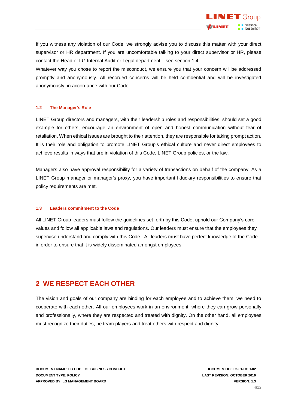

If you witness any violation of our Code, we strongly advise you to discuss this matter with your direct supervisor or HR department. If you are uncomfortable talking to your direct supervisor or HR, please contact the Head of LG Internal Audit or Legal department – see section 1.4.

Whatever way you chose to report the misconduct, we ensure you that your concern will be addressed promptly and anonymously. All recorded concerns will be held confidential and will be investigated anonymously, in accordance with our Code.

#### <span id="page-3-0"></span>**1.2 The Manager's Role**

LINET Group directors and managers, with their leadership roles and responsibilities, should set a good example for others, encourage an environment of open and honest communication without fear of retaliation. When ethical issues are brought to their attention, they are responsible for taking prompt action. It is their role and obligation to promote LINET Group's ethical culture and never direct employees to achieve results in ways that are in violation of this Code, LINET Group policies, or the law.

Managers also have approval responsibility for a variety of transactions on behalf of the company. As a LINET Group manager or manager's proxy, you have important fiduciary responsibilities to ensure that policy requirements are met.

#### <span id="page-3-1"></span>**1.3 Leaders commitment to the Code**

All LINET Group leaders must follow the guidelines set forth by this Code, uphold our Company's core values and follow all applicable laws and regulations. Our leaders must ensure that the employees they supervise understand and comply with this Code. All leaders must have perfect knowledge of the Code in order to ensure that it is widely disseminated amongst employees.

### <span id="page-3-2"></span>**2 WE RESPECT EACH OTHER**

The vision and goals of our company are binding for each employee and to achieve them, we need to cooperate with each other. All our employees work in an environment, where they can grow personally and professionally, where they are respected and treated with dignity. On the other hand, all employees must recognize their duties, be team players and treat others with respect and dignity.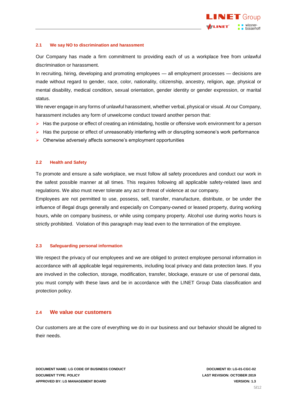

### <span id="page-4-0"></span>**2.1 We say NO to discrimination and harassment**

Our Company has made a firm commitment to providing each of us a workplace free from unlawful discrimination or harassment.

In recruiting, hiring, developing and promoting employees — all employment processes — decisions are made without regard to gender, race, color, nationality, citizenship, ancestry, religion, age, physical or mental disability, medical condition, sexual orientation, gender identity or gender expression, or marital status.

We never engage in any forms of unlawful harassment, whether verbal, physical or visual. At our Company, harassment includes any form of unwelcome conduct toward another person that:

- ➢ Has the purpose or effect of creating an intimidating, hostile or offensive work environment for a person
- ➢ Has the purpose or effect of unreasonably interfering with or disrupting someone's work performance
- <span id="page-4-1"></span>➢ Otherwise adversely affects someone's employment opportunities

### **2.2 Health and Safety**

To promote and ensure a safe workplace, we must follow all safety procedures and conduct our work in the safest possible manner at all times. This requires following all applicable safety-related laws and regulations. We also must never tolerate any act or threat of violence at our company.

Employees are not permitted to use, possess, sell, transfer, manufacture, distribute, or be under the influence of illegal drugs generally and especially on Company-owned or leased property, during working hours, while on company business, or while using company property. Alcohol use during works hours is strictly prohibited. Violation of this paragraph may lead even to the termination of the employee.

### <span id="page-4-2"></span>**2.3 Safeguarding personal information**

We respect the privacy of our employees and we are obliged to protect employee personal information in accordance with all applicable legal requirements, including local privacy and data protection laws. If you are involved in the collection, storage, modification, transfer, blockage, erasure or use of personal data, you must comply with these laws and be in accordance with the LINET Group Data classification and protection policy.

### <span id="page-4-3"></span>**2.4 We value our customers**

Our customers are at the core of everything we do in our business and our behavior should be aligned to their needs.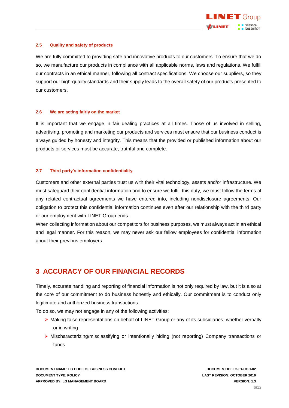

### <span id="page-5-0"></span>**2.5 Quality and safety of products**

We are fully committed to providing safe and innovative products to our customers. To ensure that we do so, we manufacture our products in compliance with all applicable norms, laws and regulations. We fulfill our contracts in an ethical manner, following all contract specifications. We choose our suppliers, so they support our high-quality standards and their supply leads to the overall safety of our products presented to our customers.

#### <span id="page-5-1"></span>**2.6 We are acting fairly on the market**

It is important that we engage in fair dealing practices at all times. Those of us involved in selling, advertising, promoting and marketing our products and services must ensure that our business conduct is always guided by honesty and integrity. This means that the provided or published information about our products or services must be accurate, truthful and complete.

### <span id="page-5-2"></span>**2.7 Third party's information confidentiality**

Customers and other external parties trust us with their vital technology, assets and/or infrastructure. We must safeguard their confidential information and to ensure we fulfill this duty, we must follow the terms of any related contractual agreements we have entered into, including nondisclosure agreements. Our obligation to protect this confidential information continues even after our relationship with the third party or our employment with LINET Group ends.

When collecting information about our competitors for business purposes, we must always act in an ethical and legal manner. For this reason, we may never ask our fellow employees for confidential information about their previous employers.

### <span id="page-5-3"></span>**3 ACCURACY OF OUR FINANCIAL RECORDS**

Timely, accurate handling and reporting of financial information is not only required by law, but it is also at the core of our commitment to do business honestly and ethically. Our commitment is to conduct only legitimate and authorized business transactions.

To do so, we may not engage in any of the following activities:

- ➢ Making false representations on behalf of LINET Group or any of its subsidiaries, whether verbally or in writing
- ➢ Mischaracterizing/misclassifying or intentionally hiding (not reporting) Company transactions or funds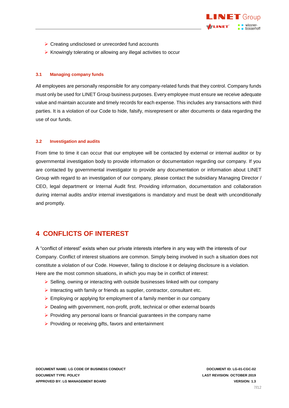

- ➢ Creating undisclosed or unrecorded fund accounts
- <span id="page-6-0"></span>➢ Knowingly tolerating or allowing any illegal activities to occur

### **3.1 Managing company funds**

All employees are personally responsible for any company-related funds that they control. Company funds must only be used for LINET Group business purposes. Every employee must ensure we receive adequate value and maintain accurate and timely records for each expense. This includes any transactions with third parties. It is a violation of our Code to hide, falsify, misrepresent or alter documents or data regarding the use of our funds.

### <span id="page-6-1"></span>**3.2 Investigation and audits**

From time to time it can occur that our employee will be contacted by external or internal auditor or by governmental investigation body to provide information or documentation regarding our company. If you are contacted by governmental investigator to provide any documentation or information about LINET Group with regard to an investigation of our company, please contact the subsidiary Managing Director / CEO, legal department or Internal Audit first. Providing information, documentation and collaboration during internal audits and/or internal investigations is mandatory and must be dealt with unconditionally and promptly.

### <span id="page-6-2"></span>**4 CONFLICTS OF INTEREST**

A "conflict of interest" exists when our private interests interfere in any way with the interests of our Company. Conflict of interest situations are common. Simply being involved in such a situation does not constitute a violation of our Code. However, failing to disclose it or delaying disclosure is a violation. Here are the most common situations, in which you may be in conflict of interest:

- ➢ Selling, owning or interacting with outside businesses linked with our company
- ➢ Interacting with family or friends as supplier, contractor, consultant etc.
- ➢ Employing or applying for employment of a family member in our company
- ➢ Dealing with government, non-profit, profit, technical or other external boards
- ➢ Providing any personal loans or financial guarantees in the company name
- ➢ Providing or receiving gifts, favors and entertainment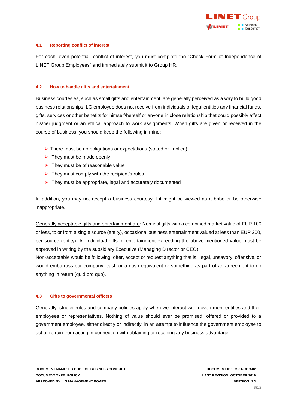

### <span id="page-7-0"></span>**4.1 Reporting conflict of interest**

For each, even potential, conflict of interest, you must complete the "Check Form of Independence of LINET Group Employees" and immediately submit it to Group HR.

### <span id="page-7-1"></span>**4.2 How to handle gifts and entertainment**

Business courtesies, such as small gifts and entertainment, are generally perceived as a way to build good business relationships. LG employee does not receive from individuals or legal entities any financial funds, gifts, services or other benefits for himself/herself or anyone in close relationship that could possibly affect his/her judgment or an ethical approach to work assignments. When gifts are given or received in the course of business, you should keep the following in mind:

- ➢ There must be no obligations or expectations (stated or implied)
- $\triangleright$  They must be made openly
- $\triangleright$  They must be of reasonable value
- $\triangleright$  They must comply with the recipient's rules
- ➢ They must be appropriate, legal and accurately documented

In addition, you may not accept a business courtesy if it might be viewed as a bribe or be otherwise inappropriate.

Generally acceptable gifts and entertainment are: Nominal gifts with a combined market value of EUR 100 or less, to or from a single source (entity), occasional business entertainment valued at less than EUR 200, per source (entity). All individual gifts or entertainment exceeding the above-mentioned value must be approved in writing by the subsidiary Executive (Managing Director or CEO).

Non-acceptable would be following: offer, accept or request anything that is illegal, unsavory, offensive, or would embarrass our company, cash or a cash equivalent or something as part of an agreement to do anything in return (quid pro quo).

### <span id="page-7-2"></span>**4.3 Gifts to governmental officers**

Generally, stricter rules and company policies apply when we interact with government entities and their employees or representatives. Nothing of value should ever be promised, offered or provided to a government employee, either directly or indirectly, in an attempt to influence the government employee to act or refrain from acting in connection with obtaining or retaining any business advantage.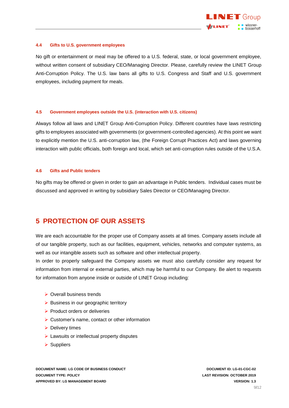

### <span id="page-8-0"></span>**4.4 Gifts to U.S. government employees**

No gift or entertainment or meal may be offered to a U.S. federal, state, or local government employee, without written consent of subsidiary CEO/Managing Director. Please, carefully review the LINET Group Anti-Corruption Policy. The U.S. law bans all gifts to U.S. Congress and Staff and U.S. government employees, including payment for meals.

#### <span id="page-8-1"></span>**4.5 Government employees outside the U.S. (interaction with U.S. citizens)**

Always follow all laws and LINET Group Anti-Corruption Policy. Different countries have laws restricting gifts to employees associated with governments (or government-controlled agencies). At this point we want to explicitly mention the U.S. anti-corruption law, (the Foreign Corrupt Practices Act) and laws governing interaction with public officials, both foreign and local, which set anti-corruption rules outside of the U.S.A.

#### <span id="page-8-2"></span>**4.6 Gifts and Public tenders**

<span id="page-8-3"></span>No gifts may be offered or given in order to gain an advantage in Public tenders. Individual cases must be discussed and approved in writing by subsidiary Sales Director or CEO/Managing Director.

### **5 PROTECTION OF OUR ASSETS**

We are each accountable for the proper use of Company assets at all times. Company assets include all of our tangible property, such as our facilities, equipment, vehicles, networks and computer systems, as well as our intangible assets such as software and other intellectual property.

In order to properly safeguard the Company assets we must also carefully consider any request for information from internal or external parties, which may be harmful to our Company. Be alert to requests for information from anyone inside or outside of LINET Group including:

- ➢ Overall business trends
- ➢ Business in our geographic territory
- ➢ Product orders or deliveries
- ➢ Customer's name, contact or other information
- ➢ Delivery times
- ➢ Lawsuits or intellectual property disputes
- ➢ Suppliers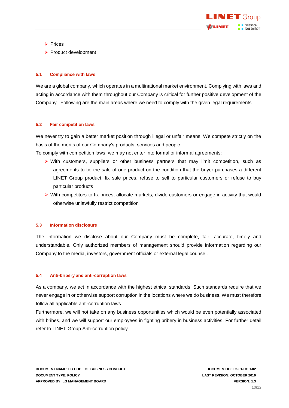

- ➢ Prices
- <span id="page-9-0"></span>➢ Product development

### **5.1 Compliance with laws**

We are a global company, which operates in a multinational market environment. Complying with laws and acting in accordance with them throughout our Company is critical for further positive development of the Company. Following are the main areas where we need to comply with the given legal requirements.

### <span id="page-9-1"></span>**5.2 Fair competition laws**

We never try to gain a better market position through illegal or unfair means. We compete strictly on the basis of the merits of our Company's products, services and people.

To comply with competition laws, we may not enter into formal or informal agreements:

- ➢ With customers, suppliers or other business partners that may limit competition, such as agreements to tie the sale of one product on the condition that the buyer purchases a different LINET Group product, fix sale prices, refuse to sell to particular customers or refuse to buy particular products
- ➢ With competitors to fix prices, allocate markets, divide customers or engage in activity that would otherwise unlawfully restrict competition

### <span id="page-9-2"></span>**5.3 Information disclosure**

The information we disclose about our Company must be complete, fair, accurate, timely and understandable. Only authorized members of management should provide information regarding our Company to the media, investors, government officials or external legal counsel.

### <span id="page-9-3"></span>**5.4 Anti-bribery and anti-corruption laws**

As a company, we act in accordance with the highest ethical standards. Such standards require that we never engage in or otherwise support corruption in the locations where we do business. We must therefore follow all applicable anti-corruption laws.

Furthermore, we will not take on any business opportunities which would be even potentially associated with bribes, and we will support our employees in fighting bribery in business activities. For further detail refer to LINET Group Anti-corruption policy.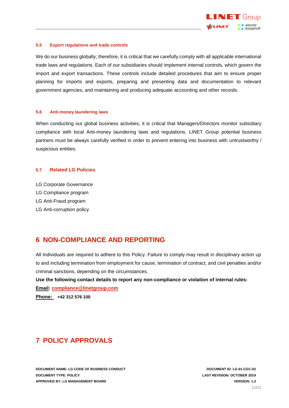

### <span id="page-10-0"></span>**5.5 Export regulations and trade controls**

We do our business globally; therefore, it is critical that we carefully comply with all applicable international trade laws and regulations. Each of our subsidiaries should implement internal controls, which govern the import and export transactions. These controls include detailed procedures that aim to ensure proper planning for imports and exports, preparing and presenting data and documentation to relevant government agencies, and maintaining and producing adequate accounting and other records.

### <span id="page-10-1"></span>**5.6 Anti-money laundering laws**

When conducting our global business activities, it is critical that Managers/Directors monitor subsidiary compliance with local Anti-money laundering laws and regulations. LINET Group potential business partners must be always carefully verified in order to prevent entering into business with untrustworthy / suspicious entities.

### <span id="page-10-2"></span>**5.7 Related LG Policies**

- LG Corporate Governance
- LG Compliance program
- LG Anti-Fraud program
- <span id="page-10-3"></span>LG Anti-corruption policy

### **6 NON-COMPLIANCE AND REPORTING**

All Individuals are required to adhere to this Policy. Failure to comply may result in disciplinary action up to and including termination from employment for cause, termination of contract, and civil penalties and/or criminal sanctions, depending on the circumstances.

### **Use the following contact details to report any non-compliance or violation of internal rules:**

**Email: [compliance@linetgroup.com](mailto:compliance@linetgroup.com)**

**Phone: +42 312 576 100**

### <span id="page-10-4"></span>**7 POLICY APPROVALS**

**DOCUMENT NAME: LG CODE OF BUSINESS CONDUCT DOCUMENT ID: LG-01-CGC-02 DOCUMENT TYPE: POLICY LAST REVISION: OCTOBER 2019 APPROVED BY: LG MANAGEMENT BOARD VERSION: 1.3**